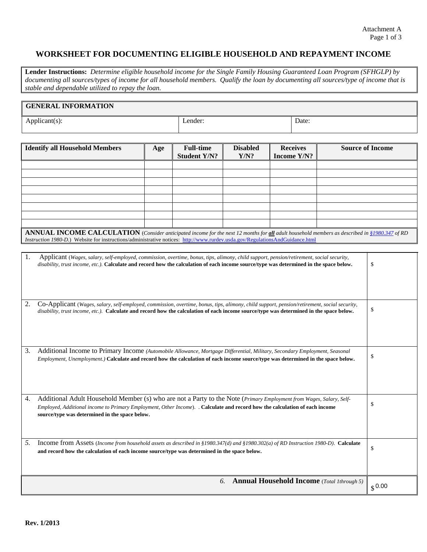## **WORKSHEET FOR DOCUMENTING ELIGIBLE HOUSEHOLD AND REPAYMENT INCOME**

**Lender Instructions:** *Determine eligible household income for the Single Family Housing Guaranteed Loan Program (SFHGLP) by documenting all sources/types of income for all household members. Qualify the loan by documenting all sources/type of income that is stable and dependable utilized to repay the loan.*

## **GENERAL INFORMATION**

Applicant(s):  $\qquad$  | Lender:  $\qquad$  | Date:

| <b>Identify all Household Members</b>                                                                                                                 | Age | <b>Full-time</b><br><b>Student Y/N?</b> | <b>Disabled</b><br>Y/N? | <b>Receives</b><br>Income $Y/N$ ? | <b>Source of Income</b> |  |
|-------------------------------------------------------------------------------------------------------------------------------------------------------|-----|-----------------------------------------|-------------------------|-----------------------------------|-------------------------|--|
|                                                                                                                                                       |     |                                         |                         |                                   |                         |  |
|                                                                                                                                                       |     |                                         |                         |                                   |                         |  |
|                                                                                                                                                       |     |                                         |                         |                                   |                         |  |
|                                                                                                                                                       |     |                                         |                         |                                   |                         |  |
|                                                                                                                                                       |     |                                         |                         |                                   |                         |  |
|                                                                                                                                                       |     |                                         |                         |                                   |                         |  |
|                                                                                                                                                       |     |                                         |                         |                                   |                         |  |
|                                                                                                                                                       |     |                                         |                         |                                   |                         |  |
|                                                                                                                                                       |     |                                         |                         |                                   |                         |  |
| <b>ANNUAL INCOME CALCULATION</b> (Consider anticipated income for the next 12 months for all adult household members as described in \$1980.347 of RD |     |                                         |                         |                                   |                         |  |
| Instruction 1980-D.) Website for instructions/administrative notices: http://www.rurdev.usda.gov/RegulationsAndGuidance.html                          |     |                                         |                         |                                   |                         |  |

| 1. | Applicant (Wages, salary, self-employed, commission, overtime, bonus, tips, alimony, child support, pension/retirement, social security,<br>disability, trust income, etc.). Calculate and record how the calculation of each income source/type was determined in the space below.                | \$     |
|----|----------------------------------------------------------------------------------------------------------------------------------------------------------------------------------------------------------------------------------------------------------------------------------------------------|--------|
| 2. | Co-Applicant (Wages, salary, self-employed, commission, overtime, bonus, tips, alimony, child support, pension/retirement, social security,<br>disability, trust income, etc.). Calculate and record how the calculation of each income source/type was determined in the space below.             | \$     |
| 3. | Additional Income to Primary Income (Automobile Allowance, Mortgage Differential, Military, Secondary Employment, Seasonal<br>Employment, Unemployment.) Calculate and record how the calculation of each income source/type was determined in the space below.                                    | \$     |
| 4. | Additional Adult Household Member (s) who are not a Party to the Note (Primary Employment from Wages, Salary, Self-<br>Employed, Additional income to Primary Employment, Other Income). Calculate and record how the calculation of each income<br>source/type was determined in the space below. | \$     |
| 5. | Income from Assets (Income from household assets as described in §1980.347(d) and §1980.302(a) of RD Instruction 1980-D). Calculate<br>and record how the calculation of each income source/type was determined in the space below.                                                                | \$     |
|    | <b>Annual Household Income</b> (Total 1through 5)<br>6.                                                                                                                                                                                                                                            | \$0.00 |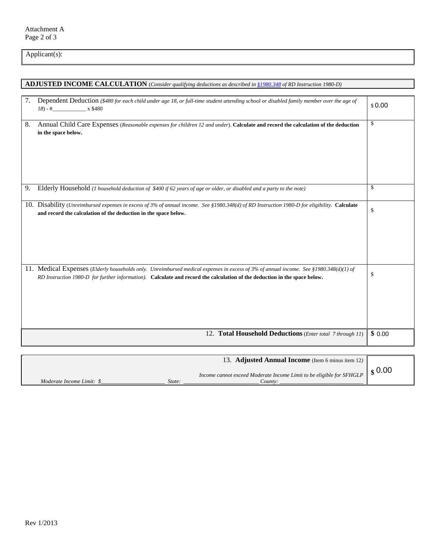Applicant(s):

| <b>ADJUSTED INCOME CALCULATION</b> (Consider qualifying deductions as described in \$1980.348 of RD Instruction 1980-D) |                                                                                                                                                                                                                                                                    |        |
|-------------------------------------------------------------------------------------------------------------------------|--------------------------------------------------------------------------------------------------------------------------------------------------------------------------------------------------------------------------------------------------------------------|--------|
|                                                                                                                         |                                                                                                                                                                                                                                                                    |        |
| 7.                                                                                                                      | Dependent Deduction (\$480 for each child under age 18, or full-time student attending school or disabled family member over the age of<br>$18) - #$ x \$480                                                                                                       | \$0.00 |
| 8.                                                                                                                      | Annual Child Care Expenses (Reasonable expenses for children 12 and under). Calculate and record the calculation of the deduction<br>in the space below.                                                                                                           | \$     |
| 9.                                                                                                                      | Elderly Household (1 household deduction of \$400 if 62 years of age or older, or disabled and a party to the note)                                                                                                                                                | \$     |
|                                                                                                                         | 10. Disability (Unreimbursed expenses in excess of 3% of annual income. See §1980.348(d) of RD Instruction 1980-D for eligibility. Calculate<br>and record the calculation of the deduction in the space below.                                                    | \$     |
|                                                                                                                         | 11. Medical Expenses (Elderly households only. Unreimbursed medical expenses in excess of 3% of annual income. See §1980.348(d)(1) of<br>RD Instruction 1980-D for further information). Calculate and record the calculation of the deduction in the space below. | \$     |
|                                                                                                                         | 12. Total Household Deductions (Enter total 7 through 11)                                                                                                                                                                                                          | \$0.00 |
|                                                                                                                         |                                                                                                                                                                                                                                                                    |        |
|                                                                                                                         | 13. Adjusted Annual Income (Item 6 minus item 12)                                                                                                                                                                                                                  |        |

*Income cannot exceed Moderate Income Limit to be eligible for SFHGLP* 

**\$**  0.00

*Moderate Income Limit: \$\_\_\_\_\_\_\_\_\_\_\_\_\_\_\_\_\_\_\_\_\_\_\_ State: \_\_\_\_\_\_\_\_\_\_\_\_\_\_\_\_\_\_\_\_\_\_\_\_\_\_\_ County: \_\_\_\_\_\_\_\_\_\_\_\_\_\_\_\_\_\_\_\_\_\_\_\_\_\_\_\_\_\_*